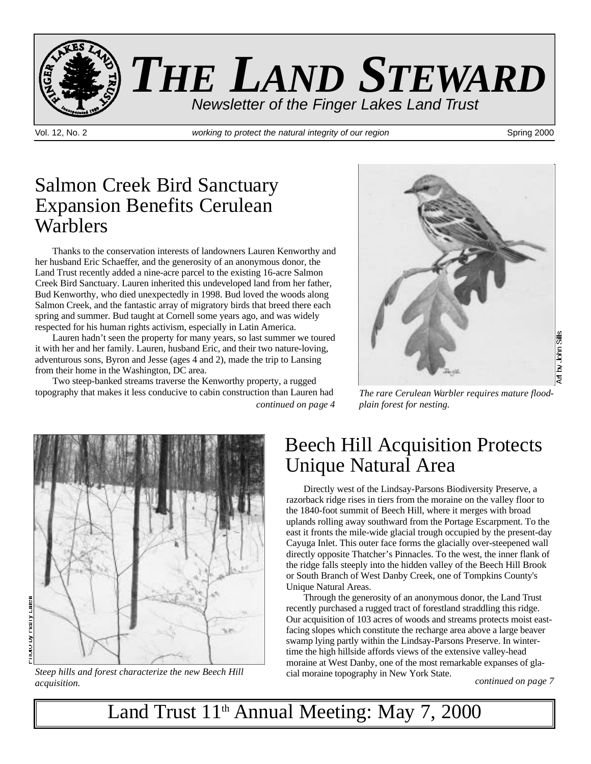

Vol. 12, No. 2 **working to protect the natural integrity of our region** Spring 2000

### Salmon Creek Bird Sanctuary Expansion Benefits Cerulean **Warblers**

Thanks to the conservation interests of landowners Lauren Kenworthy and her husband Eric Schaeffer, and the generosity of an anonymous donor, the Land Trust recently added a nine-acre parcel to the existing 16-acre Salmon Creek Bird Sanctuary. Lauren inherited this undeveloped land from her father, Bud Kenworthy, who died unexpectedly in 1998. Bud loved the woods along Salmon Creek, and the fantastic array of migratory birds that breed there each spring and summer. Bud taught at Cornell some years ago, and was widely respected for his human rights activism, especially in Latin America.

Lauren hadn't seen the property for many years, so last summer we toured it with her and her family. Lauren, husband Eric, and their two nature-loving, adventurous sons, Byron and Jesse (ages 4 and 2), made the trip to Lansing from their home in the Washington, DC area.

*continued on page 4* Two steep-banked streams traverse the Kenworthy property, a rugged topography that makes it less conducive to cabin construction than Lauren had



*The rare Cerulean Warbler requires mature floodplain forest for nesting.*



*Steep hills and forest characterize the new Beech Hill acquisition.*

### Beech Hill Acquisition Protects Unique Natural Area

Directly west of the Lindsay-Parsons Biodiversity Preserve, a razorback ridge rises in tiers from the moraine on the valley floor to the 1840-foot summit of Beech Hill, where it merges with broad uplands rolling away southward from the Portage Escarpment. To the east it fronts the mile-wide glacial trough occupied by the present-day Cayuga Inlet. This outer face forms the glacially over-steepened wall directly opposite Thatcher's Pinnacles. To the west, the inner flank of the ridge falls steeply into the hidden valley of the Beech Hill Brook or South Branch of West Danby Creek, one of Tompkins County's Unique Natural Areas.

Through the generosity of an anonymous donor, the Land Trust recently purchased a rugged tract of forestland straddling this ridge. Our acquisition of 103 acres of woods and streams protects moist eastfacing slopes which constitute the recharge area above a large beaver swamp lying partly within the Lindsay-Parsons Preserve. In wintertime the high hillside affords views of the extensive valley-head moraine at West Danby, one of the most remarkable expanses of glacial moraine topography in New York State.

*continued on page 7*

Land Trust 11<sup>th</sup> Annual Meeting: May 7, 2000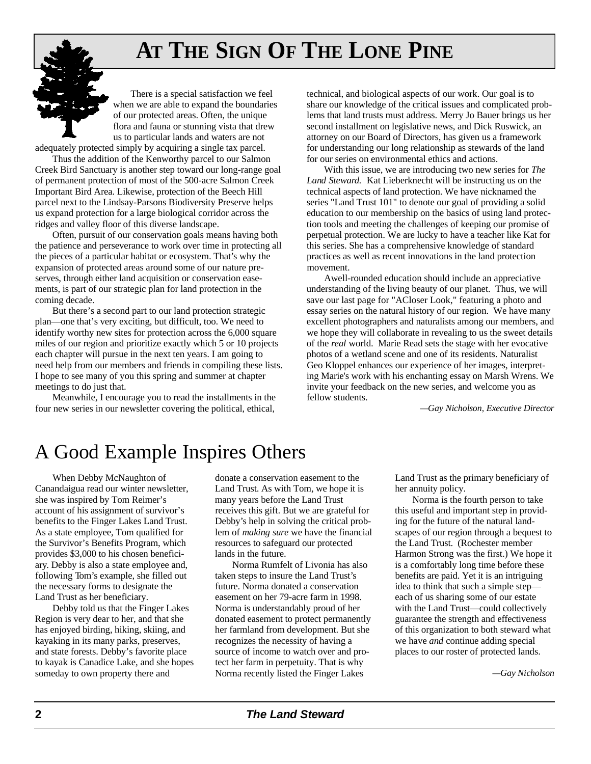# **AT THE SIGN OF THE LONE PINE**

There is a special satisfaction we feel when we are able to expand the boundaries of our protected areas. Often, the unique flora and fauna or stunning vista that drew us to particular lands and waters are not adequately protected simply by acquiring a single tax parcel.

Thus the addition of the Kenworthy parcel to our Salmon Creek Bird Sanctuary is another step toward our long-range goal of permanent protection of most of the 500-acre Salmon Creek Important Bird Area. Likewise, protection of the Beech Hill parcel next to the Lindsay-Parsons Biodiversity Preserve helps us expand protection for a large biological corridor across the ridges and valley floor of this diverse landscape.

Often, pursuit of our conservation goals means having both the patience and perseverance to work over time in protecting all the pieces of a particular habitat or ecosystem. That's why the expansion of protected areas around some of our nature preserves, through either land acquisition or conservation easements, is part of our strategic plan for land protection in the coming decade.

But there's a second part to our land protection strategic plan—one that's very exciting, but difficult, too. We need to identify worthy new sites for protection across the 6,000 square miles of our region and prioritize exactly which 5 or 10 projects each chapter will pursue in the next ten years. I am going to need help from our members and friends in compiling these lists. I hope to see many of you this spring and summer at chapter meetings to do just that.

Meanwhile, I encourage you to read the installments in the four new series in our newsletter covering the political, ethical,

technical, and biological aspects of our work. Our goal is to share our knowledge of the critical issues and complicated problems that land trusts must address. Merry Jo Bauer brings us her second installment on legislative news, and Dick Ruswick, an attorney on our Board of Directors, has given us a framework for understanding our long relationship as stewards of the land for our series on environmental ethics and actions.

With this issue, we are introducing two new series for *The Land Steward.* Kat Lieberknecht will be instructing us on the technical aspects of land protection. We have nicknamed the series "Land Trust 101" to denote our goal of providing a solid education to our membership on the basics of using land protection tools and meeting the challenges of keeping our promise of perpetual protection. We are lucky to have a teacher like Kat for this series. She has a comprehensive knowledge of standard practices as well as recent innovations in the land protection movement.

Awell-rounded education should include an appreciative understanding of the living beauty of our planet. Thus, we will save our last page for "ACloser Look," featuring a photo and essay series on the natural history of our region. We have many excellent photographers and naturalists among our members, and we hope they will collaborate in revealing to us the sweet details of the *real* world. Marie Read sets the stage with her evocative photos of a wetland scene and one of its residents. Naturalist Geo Kloppel enhances our experience of her images, interpreting Marie's work with his enchanting essay on Marsh Wrens. We invite your feedback on the new series, and welcome you as fellow students.

*—Gay Nicholson, Executive Director* 

### A Good Example Inspires Others

When Debby McNaughton of Canandaigua read our winter newsletter, she was inspired by Tom Reimer's account of his assignment of survivor's benefits to the Finger Lakes Land Trust. As a state employee, Tom qualified for the Survivor's Benefits Program, which provides \$3,000 to his chosen beneficiary. Debby is also a state employee and, following Tom's example, she filled out the necessary forms to designate the Land Trust as her beneficiary.

Debby told us that the Finger Lakes Region is very dear to her, and that she has enjoyed birding, hiking, skiing, and kayaking in its many parks, preserves, and state forests. Debby's favorite place to kayak is Canadice Lake, and she hopes someday to own property there and

donate a conservation easement to the Land Trust. As with Tom, we hope it is many years before the Land Trust receives this gift. But we are grateful for Debby's help in solving the critical problem of *making sure* we have the financial resources to safeguard our protected lands in the future.

Norma Rumfelt of Livonia has also taken steps to insure the Land Trust's future. Norma donated a conservation easement on her 79-acre farm in 1998. Norma is understandably proud of her donated easement to protect permanently her farmland from development. But she recognizes the necessity of having a source of income to watch over and protect her farm in perpetuity. That is why Norma recently listed the Finger Lakes

Land Trust as the primary beneficiary of her annuity policy.

Norma is the fourth person to take this useful and important step in providing for the future of the natural landscapes of our region through a bequest to the Land Trust. (Rochester member Harmon Strong was the first.) We hope it is a comfortably long time before these benefits are paid. Yet it is an intriguing idea to think that such a simple step each of us sharing some of our estate with the Land Trust—could collectively guarantee the strength and effectiveness of this organization to both steward what we have *and* continue adding special places to our roster of protected lands.

 $-Q$ ay Nicholson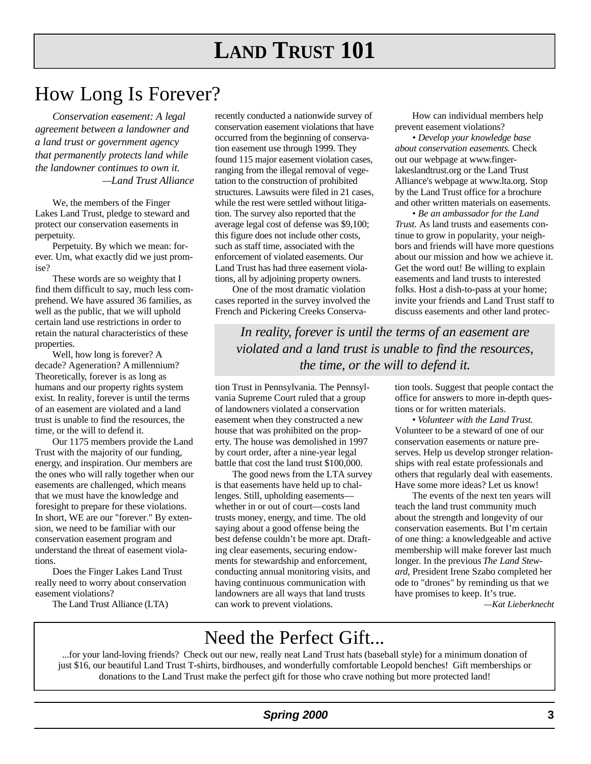# **LAND TRUST 101**

### How Long Is Forever?

*Conservation easement: A legal ag reement between a landowner and a land trust or government agency that permanently protects land while the landowner continues to own it.*   $-$ *Land Trust Alliance* 

We, the members of the Finger Lakes Land Trust, pledge to steward and protect our conservation easements in p er petuity.

Perpetuity. By which we mean: forever. Um, what exactly did we just promise?

These words are so weighty that I find them difficult to say, much less comprehend. We have assured 36 families, as well as the public, that we will uphold certain land use restrictions in order to retain the natural characteristics of these properties.

Well, how long is forever? A decade? Ageneration? A millennium? Theoretically, forever is as long as humans and our property rights system exist. In reality, forever is until the terms of an easement are violated and a land trust is unable to find the resources, the time, or the will to defend it.

Our 1175 members provide the Land Trust with the majority of our funding, energy, and inspiration. Our members are the ones who will rally together when our easements are challenged, which means that we must have the knowledge and foresight to prepare for these violations. In short, WE are our "forever." By extension, we need to be familiar with our conservation easement program and understand the threat of easement violations.

Does the Finger Lakes Land Trust really need to worry about conservation easement violations?

The Land Trust Alliance (LTA)

recently conducted a nationwide survey of conservation easement violations that have occurred from the beginning of conservation easement use through 1999. They found 115 major easement violation cases, ranging from the illegal removal of vegetation to the construction of prohibited structures. Lawsuits were filed in 21 cases, while the rest were settled without litigation. The survey also reported that the average legal cost of defense was \$9,100; this figure does not include other costs, such as staff time, associated with the enforcement of violated easements. Our Land Trust has had three easement violations, all by adjoining property owners.

One of the most dramatic violation cases reported in the survey involved the French and Pickering Creeks Conserva-

How can individual members help prevent easement violations?

*• Develop your knowledge base about conservation easements.* Check out our webpage at www.fingerlakeslandtrust.org or the Land Trust Alliance's webpage at www.lta.org. Stop by the Land Trust office for a brochure and other written materials on easements.

*• Be an ambassador for the Land Trust.* As land trusts and easements continue to grow in popularity, your neighbors and friends will have more questions about our mission and how we achieve it. Get the word out! Be willing to explain easements and land trusts to interested folks. Host a dish-to-pass at your home; invite your friends and Land Trust staff to discuss easements and other land protec-

In reality, forever is until the terms of an easement are *violated and a land trust is unable to find the resources, the time, or the will to defend it.* 

tion Trust in Pennsylvania. The Pennsylvania Supreme Court ruled that a group of landowners violated a conservation easement when they constructed a new house that was prohibited on the property. The house was demolished in 1997 by court order, after a nine-year legal battle that cost the land trust \$100,000.

The good news from the LTA survey is that easements have held up to challenges. Still, upholding easements whether in or out of court—costs land trusts money, energy, and time. The old saying about a good offense being the best defense couldn't be more apt. Drafting clear easements, securing endowments for stewardship and enforcement, conducting annual monitoring visits, and having continuous communication with landowners are all ways that land trusts can work to prevent violations.

tion tools. Suggest that people contact the office for answers to more in-depth questions or for written materials.

• Volunteer with the Land Trust. Volunteer to be a steward of one of our conservation easements or nature preserves. Help us develop stronger relationships with real estate professionals and others that regularly deal with easements. Have some more ideas? Let us know!

The events of the next ten years will teach the land trust community much about the strength and longevity of our conservation easements. But I'm certain of one thing: a knowledgeable and active membership will make forever last much longer. In the previous *The Land Stewa rd,* President Irene Szabo completed her ode to "drones" by reminding us that we have promises to keep. It's true.

*—Kat Lieberknech t*

### Need the Perfect Gift...

...for your land-loving friends? Check out our new, really neat Land Trust hats (baseball style) for a minimum donation of just \$16, our beautiful Land Trust T-shirts, birdhouses, and wonderfully comfortable Leopold benches! Gift memberships or donations to the Land Trust make the perfect gift for those who crave nothing but more protected land!

### **Spring 2000 3**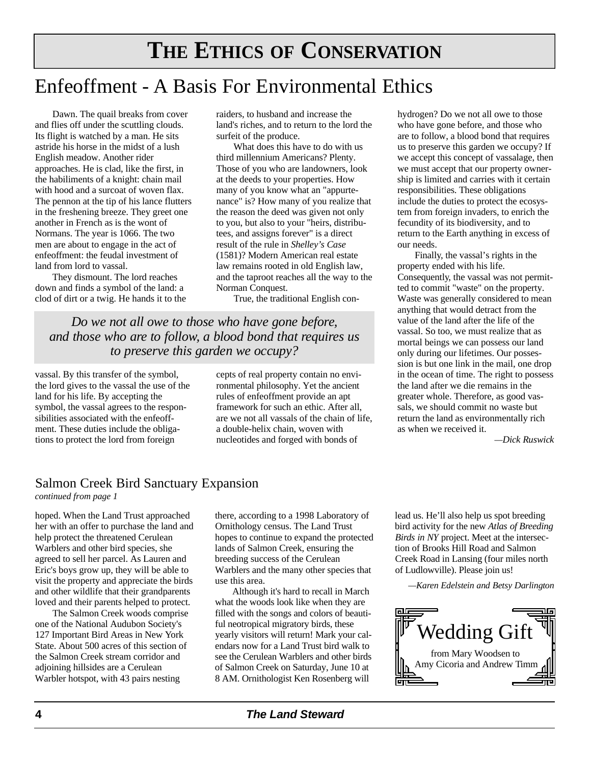### Enfeoffment - A Basis For Environmental Ethics

Dawn. The quail breaks from cover and flies off under the scuttling clouds. Its flight is watched by a man. He sits astride his horse in the midst of a lush English meadow. Another rider approaches. He is clad, like the first, in the habiliments of a knight: chain mail with hood and a surcoat of woven flax. The pennon at the tip of his lance flutters in the freshening breeze. They greet one another in French as is the wont of Normans. The year is 1066. The two men are about to engage in the act of enfeoffment: the feudal investment of land from lord to vassal.

They dismount. The lord reaches down and finds a symbol of the land: a clod of dirt or a twig. He hands it to the raiders, to husband and increase the land's riches, and to return to the lord the surfeit of the produce.

What does this have to do with us third millennium Americans? Plenty. Those of you who are landowners, look at the deeds to your properties. How many of you know what an "appurtenance" is? How many of you realize that the reason the deed was given not only to you, but also to your "heirs, distributees, and assigns forever" is a direct result of the rule in *Shelley's Case* (1581)? Modern American real estate law remains rooted in old English law, and the taproot reaches all the way to the Norman Conquest.

True, the traditional English con-

*Do we not all owe to those who have gone before, and those who are to follow, a blood bond that requires us to preserve this garden we occupy?*

vassal. By this transfer of the symbol, the lord gives to the vassal the use of the land for his life. By accepting the symbol, the vassal agrees to the responsibilities associated with the enfeoffment. These duties include the obligations to protect the lord from foreign

cepts of real property contain no environmental philosophy. Yet the ancient rules of enfeoffment provide an apt framework for such an ethic. After all, are we not all vassals of the chain of life, a double-helix chain, woven with nucleotides and forged with bonds of

hydrogen? Do we not all owe to those who have gone before, and those who are to follow, a blood bond that requires us to preserve this garden we occupy? If we accept this concept of vassalage, then we must accept that our property ownership is limited and carries with it certain responsibilities. These obligations include the duties to protect the ecosystem from foreign invaders, to enrich the fecundity of its biodiversity, and to return to the Earth anything in excess of our needs.

Finally, the vassal's rights in the property ended with his life. Consequently, the vassal was not permitted to commit "waste" on the property. Waste was generally considered to mean anything that would detract from the value of the land after the life of the vassal. So too, we must realize that as mortal beings we can possess our land only during our lifetimes. Our possession is but one link in the mail, one drop in the ocean of time. The right to possess the land after we die remains in the greater whole. Therefore, as good vassals, we should commit no waste but return the land as environmentally rich as when we received it.

*—D i ck Ruswick*

### Salmon Creek Bird Sanctuary Expansion

*continued from page 1*

hoped. When the Land Trust approached her with an offer to purchase the land and help protect the threatened Cerulean Warblers and other bird species, she agreed to sell her parcel. As Lauren and Eric's boys grow up, they will be able to visit the property and appreciate the birds and other wildlife that their grandparents loved and their parents helped to protect.

The Salmon Creek woods comprise one of the National Audubon Society's 127 Important Bird Areas in New York State. About 500 acres of this section of the Salmon Creek stream corridor and adjoining hillsides are a Cerulean Warbler hotspot, with 43 pairs nesting

there, according to a 1998 Laboratory of Ornithology census. The Land Trust hopes to continue to expand the protected lands of Salmon Creek, ensuring the breeding success of the Cerulean Warblers and the many other species that use this area.

Although it's hard to recall in March what the woods look like when they are filled with the songs and colors of beautiful neotropical migratory birds, these yearly visitors will return! Mark your calendars now for a Land Trust bird walk to see the Cerulean Warblers and other birds of Salmon Creek on Saturday, June 10 at 8 AM. Ornithologist Ken Rosenberg will

lead us. He'll also help us spot breeding bird activity for the new *Atlas of Breeding Birds in NY* project. Meet at the intersection of Brooks Hill Road and Salmon Creek Road in Lansing (four miles north of Ludlowville). Please join us!

*— K a ren Edelstein and Betsy Darlington*

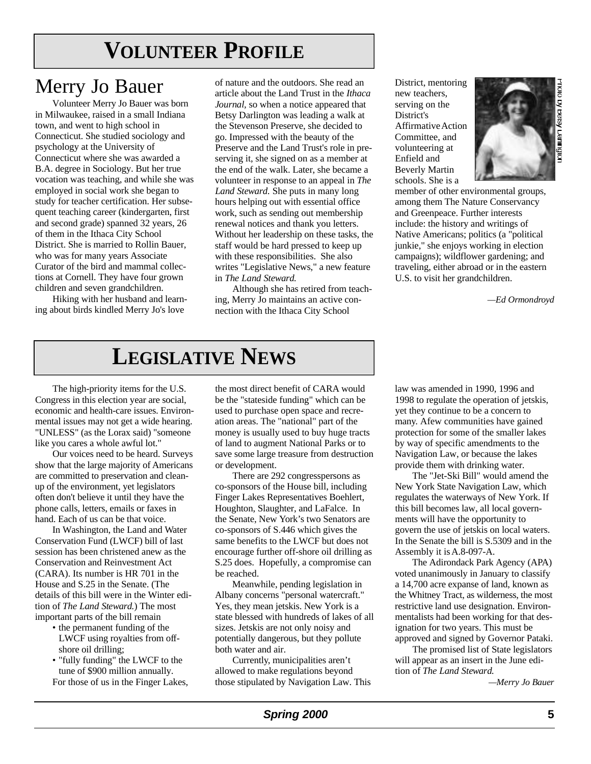# **VOLUNTEER PROFILE**

### Merry Jo Bauer

Volunteer Merry Jo Bauer was born in Milwaukee, raised in a small Indiana town, and went to high school in Connecticut. She studied sociology and psychology at the University of Connecticut where she was awarded a B.A. degree in Sociology. But her true vocation was teaching, and while she was employed in social work she began to study for teacher certification. Her subsequent teaching career (kindergarten, first and second grade) spanned 32 years, 26 of them in the Ithaca City School District. She is married to Rollin Bauer, who was for many years Associate Curator of the bird and mammal collections at Cornell. They have four grown children and seven grandchildren.

Hiking with her husband and learning about birds kindled Merry Jo's love

of nature and the outdoors. She read an article about the Land Trust in the *Ithaca Journal,* so when a notice appeared that Betsy Darlington was leading a walk at the Stevenson Preserve, she decided to go. Impressed with the beauty of the Preserve and the Land Trust's role in preserving it, she signed on as a member at the end of the walk. Later, she became a volunteer in response to an appeal in *The* Land Steward. She puts in many long hours helping out with essential office work, such as sending out membership renewal notices and thank you letters. Without her leadership on these tasks, the staff would be hard pressed to keep up with these responsibilities. She also writes "Legislative News," a new feature in *The Land Steward.* 

Although she has retired from teaching, Merry Jo maintains an active connection with the Ithaca City School

District, mentoring new teachers, serving on the District's Affirmative Action Committee, and volunteering at Enfield and Beverly Martin schools. She is a



member of other environmental groups, among them The Nature Conservancy and Greenpeace. Further interests include: the history and writings of Native Americans; politics (a "political junkie," she enjoys working in election campaigns); wildflower gardening; and traveling, either abroad or in the eastern U.S. to visit her grandchildren.

*—Ed Ormondro y d*

# **LEGISLATIVE NEWS**

The high-priority items for the U.S. Congress in this election year are social, economic and health-care issues. Environmental issues may not get a wide hearing. "UNLESS" (as the Lorax said) "someone like you cares a whole awful lot."

Our voices need to be heard. Surveys show that the large majority of Americans are committed to preservation and cleanup of the environment, yet legislators often don't believe it until they have the phone calls, letters, emails or faxes in hand. Each of us can be that voice.

In Washington, the Land and Water Conservation Fund (LWCF) bill of last session has been christened anew as the Conservation and Reinvestment Act (CARA). Its number is HR 701 in the House and S.25 in the Senate. (The details of this bill were in the Winter edition of *The Land Steward*.) The most important parts of the bill remain

- the permanent funding of the LWCF using royalties from offshore oil drilling;
- "fully funding" the LWCF to the tune of \$900 million annually. For those of us in the Finger Lakes,

the most direct benefit of CARA would be the "stateside funding" which can be used to purchase open space and recreation areas. The "national" part of the money is usually used to buy huge tracts of land to augment National Parks or to save some large treasure from destruction or development.

There are 292 congresspersons as co-sponsors of the House bill, including Finger Lakes Representatives Boehlert, Houghton, Slaughter, and LaFalce. In the Senate, New York's two Senators are co-sponsors of S.446 which gives the same benefits to the LWCF but does not encourage further off-shore oil drilling as S.25 does. Hopefully, a compromise can be reached.

Meanwhile, pending legislation in Albany concerns "personal watercraft." Yes, they mean jetskis. New York is a state blessed with hundreds of lakes of all sizes. Jetskis are not only noisy and potentially dangerous, but they pollute both water and air.

Currently, municipalities aren't allowed to make regulations beyond those stipulated by Navigation Law. This law was amended in 1990, 1996 and 1998 to regulate the operation of jetskis, yet they continue to be a concern to many. Afew communities have gained protection for some of the smaller lakes by way of specific amendments to the Navigation Law, or because the lakes provide them with drinking water.

The "Jet-Ski Bill" would amend the New York State Navigation Law, which regulates the waterways of New York. If this bill becomes law, all local governments will have the opportunity to govern the use of jetskis on local waters. In the Senate the bill is S.5309 and in the Assembly it is A.8-097-A.

The Adirondack Park Agency (APA) voted unanimously in January to classify a 14,700 acre expanse of land, known as the Whitney Tract, as wilderness, the most restrictive land use designation. Environmentalists had been working for that designation for two years. This must be approved and signed by Governor Pataki.

The promised list of State legislators will appear as an insert in the June edition of *The Land Steward.* 

*—Merry Jo Bauer*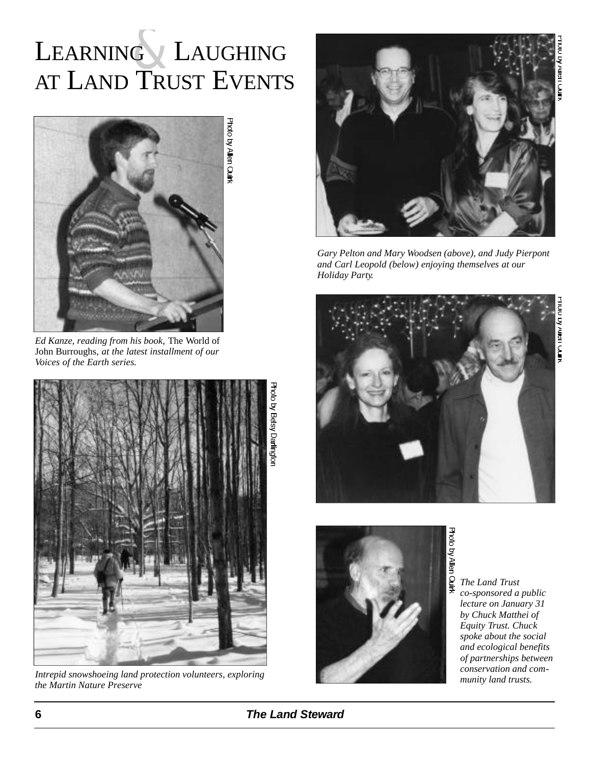# **W Allel Lyum**

# LEARNING LAUGHING AT LAND TRUST EVENTS



*Ed Kanze, reading from his book,* The World of John Burroughs, *at the latest installment of our Voices of the Earth series.* 



*munity land protection volunteers, exploring*<br> *Intrepid snowshoeing land protection volunteers, exploring*<br> *Interprofession and trusts. the Martin Nature Preserve*



*Gary Pelton and Mary Woodsen (above), and Judy Pierpont and Carl Leopold (below) enjoying themselves at our Holiday Party.*





*The Land Trust co-sponsored a public lecture on January 31 by Chuck Matthei of Equity Trust. Chuck spoke about the social and ecological benefits of partnerships between conservation and com-*

### **6 The Land Steward**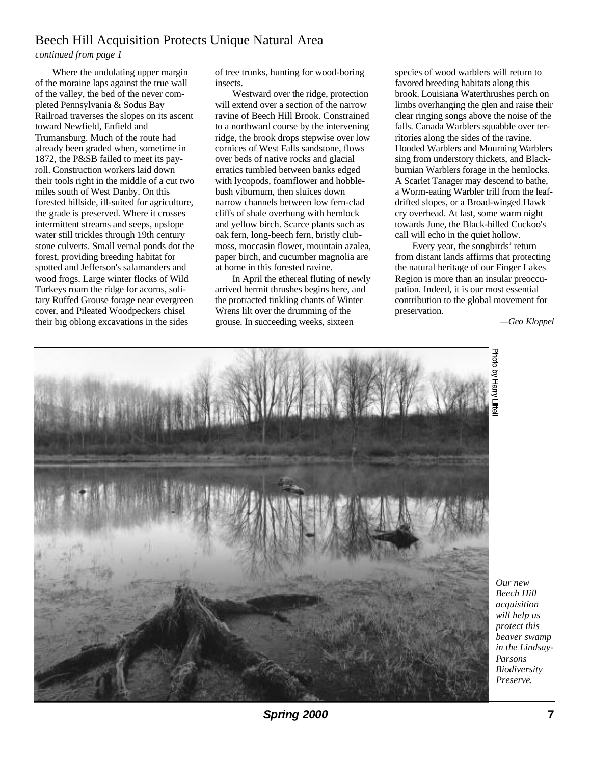### Beech Hill Acquisition Protects Unique Natural Area

#### *continued from page 1*

Where the undulating upper margin of the moraine laps against the true wall of the valley, the bed of the never completed Pennsylvania & Sodus Bay Railroad traverses the slopes on its ascent toward Newfield, Enfield and Trumansburg. Much of the route had already been graded when, sometime in 1872, the P&SB failed to meet its payroll. Construction workers laid down their tools right in the middle of a cut two miles south of West Danby. On this forested hillside, ill-suited for agriculture, the grade is preserved. Where it crosses intermittent streams and seeps, upslope water still trickles through 19th century stone culverts. Small vernal ponds dot the forest, providing breeding habitat for spotted and Jefferson's salamanders and wood frogs. Large winter flocks of Wild Turkeys roam the ridge for acorns, solitary Ruffed Grouse forage near evergreen cover, and Pileated Woodpeckers chisel their big oblong excavations in the sides

of tree trunks, hunting for wood-boring insects.

Westward over the ridge, protection will extend over a section of the narrow ravine of Beech Hill Brook. Constrained to a northward course by the intervening ridge, the brook drops stepwise over low cornices of West Falls sandstone, flows over beds of native rocks and glacial erratics tumbled between banks edged with lycopods, foamflower and hobblebush viburnum, then sluices down narrow channels between low fern-clad cliffs of shale overhung with hemlock and yellow birch. Scarce plants such as oak fern, long-beech fern, bristly clubmoss, moccasin flower, mountain azalea, paper birch, and cucumber magnolia are at home in this forested ravine.

In April the ethereal fluting of newly arrived hermit thrushes begins here, and the protracted tinkling chants of Winter Wrens lilt over the drumming of the grouse. In succeeding weeks, sixteen

species of wood warblers will return to favored breeding habitats along this brook. Louisiana Waterthrushes perch on limbs overhanging the glen and raise their clear ringing songs above the noise of the falls. Canada Warblers squabble over territories along the sides of the ravine. Hooded Warblers and Mourning Warblers sing from understory thickets, and Blackburnian Warblers forage in the hemlocks. A Scarlet Tanager may descend to bathe, a Worm-eating Warbler trill from the leafdrifted slopes, or a Broad-winged Hawk cry overhead. At last, some warm night towards June, the Black-billed Cuckoo's call will echo in the quiet hollow.

Every year, the songbirds' return from distant lands affirms that protecting the natural heritage of our Finger Lakes Region is more than an insular preoccupation. Indeed, it is our most essential contribution to the global movement for preservation.

*—Geo Kloppel*



*Our new Beech Hill acquisition will help us protect this beaver swamp in the Lindsay-Parsons Biodiversity Preserve.*

**Spring 2000 7**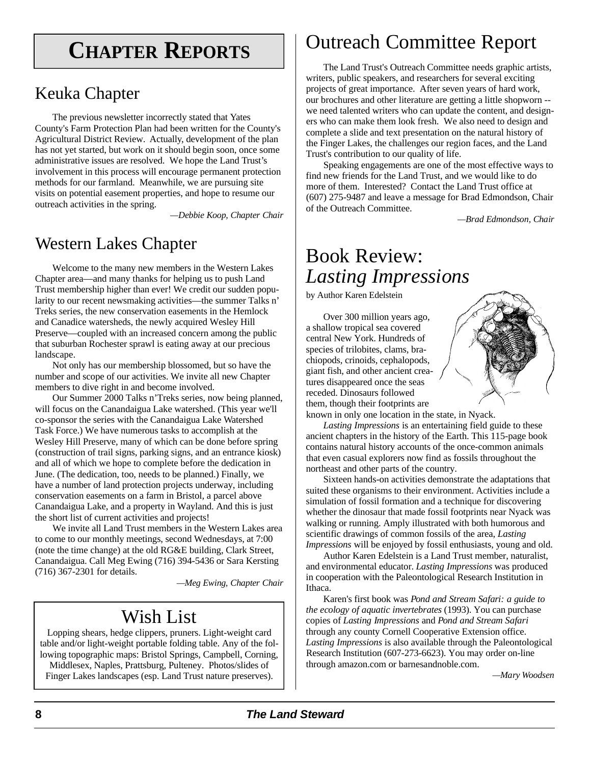# **CHAPTER REPORTS**

### Keuka Chapter

The previous newsletter incorrectly stated that Yates County's Farm Protection Plan had been written for the County's Agricultural District Review. Actually, development of the plan has not yet started, but work on it should begin soon, once some administrative issues are resolved. We hope the Land Trust's involvement in this process will encourage permanent protection methods for our farmland. Meanwhile, we are pursuing site visits on potential easement properties, and hope to resume our outreach activities in the spring.

*—Debbie Koop, Chapter Chair* 

### Western Lakes Chapter

Welcome to the many new members in the Western Lakes Chapter area—and many thanks for helping us to push Land Trust membership higher than ever! We credit our sudden popularity to our recent newsmaking activities—the summer Talks n' Treks series, the new conservation easements in the Hemlock and Canadice watersheds, the newly acquired Wesley Hill Preserve—coupled with an increased concern among the public that suburban Rochester sprawl is eating away at our precious landscape.

Not only has our membership blossomed, but so have the number and scope of our activities. We invite all new Chapter members to dive right in and become involved.

Our Summer 2000 Talks n'Treks series, now being planned, will focus on the Canandaigua Lake watershed. (This year we'll co-sponsor the series with the Canandaigua Lake Watershed Task Force.) We have numerous tasks to accomplish at the Wesley Hill Preserve, many of which can be done before spring (construction of trail signs, parking signs, and an entrance kiosk) and all of which we hope to complete before the dedication in June. (The dedication, too, needs to be planned.) Finally, we have a number of land protection projects underway, including conservation easements on a farm in Bristol, a parcel above Canandaigua Lake, and a property in Wayland. And this is just the short list of current activities and projects!

We invite all Land Trust members in the Western Lakes area to come to our monthly meetings, second Wednesdays, at 7:00 (note the time change) at the old RG&E building, Clark Street, Canandaigua. Call Meg Ewing (716) 394-5436 or Sara Kersting (716) 367-2301 for details.

*— M eg Ewing, Chapter Chair*

### Wish List

Lopping shears, hedge clippers, pruners. Light-weight card table and/or light-weight portable folding table. Any of the following topographic maps: Bristol Springs, Campbell, Corning, Middlesex, Naples, Prattsburg, Pulteney. Photos/slides of Finger Lakes landscapes (esp. Land Trust nature preserves).

Outreach Committee Report

The Land Trust's Outreach Committee needs graphic artists, writers, public speakers, and researchers for several exciting projects of great importance. After seven years of hard work, our brochures and other literature are getting a little shopworn - we need talented writers who can update the content, and designers who can make them look fresh. We also need to design and complete a slide and text presentation on the natural history of the Finger Lakes, the challenges our region faces, and the Land Trust's contribution to our quality of life.

Speaking engagements are one of the most effective ways to find new friends for the Land Trust, and we would like to do more of them. Interested? Contact the Land Trust office at (607) 275-9487 and leave a message for Brad Edmondson, Chair of the Outreach Committee.

*— B rad Edmondson, Chair*

### Book Review: *Lasting Impressions*

by Author Karen Edelstein

Over 300 million years ago, a shallow tropical sea covered central New York. Hundreds of species of trilobites, clams, brachiopods, crinoids, cephalopods, giant fish, and other ancient creatures disappeared once the seas receded. Dinosaurs followed them, though their footprints are



known in only one location in the state, in Nyack.

Lasting *Impressions* is an entertaining field guide to these ancient chapters in the history of the Earth. This 115-page book contains natural history accounts of the once-common animals that even casual explorers now find as fossils throughout the northeast and other parts of the country.

Sixteen hands-on activities demonstrate the adaptations that suited these organisms to their environment. Activities include a simulation of fossil formation and a technique for discovering whether the dinosaur that made fossil footprints near Nyack was walking or running. Amply illustrated with both humorous and scientific drawings of common fossils of the area, *Lasting Impressions* will be enjoyed by fossil enthusiasts, young and old.

Author Karen Edelstein is a Land Trust member, naturalist, and environmental educator. *Lasting Impressions* was produced in cooperation with the Paleontological Research Institution in Ithaca.

Karen's first book was *Pond and Stream Safari: a guide to the ecology of aquatic invertebrates* (1993). You can purchase copies of *Lasting Impressions* and *Pond and Stream Safari* through any county Cornell Cooperative Extension office. Lasting Impressions is also available through the Paleontological Research Institution (607-273-6623). You may order on-line through amazon.com or barnesandnoble.com.

 $-Mary Woodsen$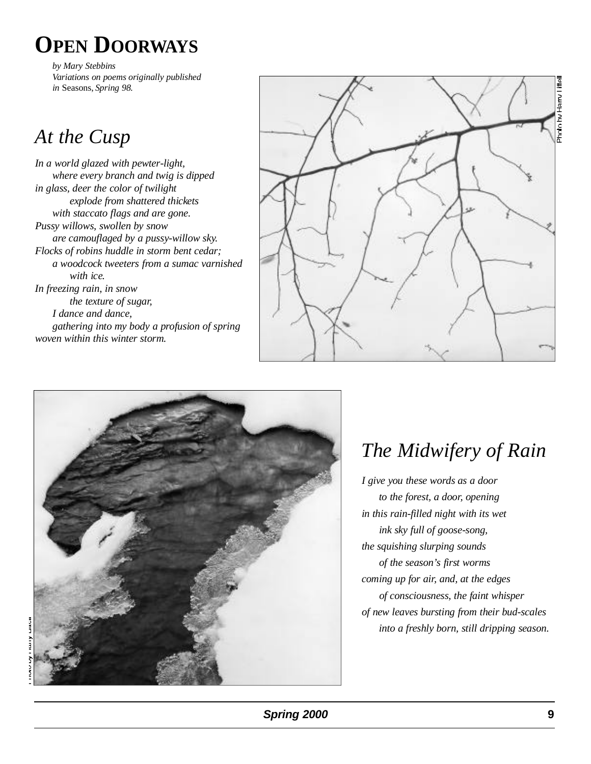# **OPEN DOORWAYS**

*by Mary Stebbins Variations on poems originally published in* Seasons, *Spring 98.*

## *At the Cusp*

In a world glazed with pewter-light, *where every branch and twig is dipped in glass, deer the color of twilight explode from shattered thickets with staccato flags and are gone. Pussy willows, swollen by snow a re camouflaged by a pussy-willow sky. Flocks of robins huddle in storm bent cedar; a woodcock tweeters from a sumac varnished with ice. In freezing rain, in snow the texture of sugar, I dance and dance, gathering into my body a profusion of spring w oven within this winter storm.*





# *The Midwifery of Rain*

*I give you these words as a door to the forest, a door, opening in this rain-filled night with its wet ink sky full of goose-song, the squishing slurping sounds of the season's first worms coming up for air, and, at the edges of consciousness, the faint whisper of new leaves bursting from their bud-scales into a freshly born, still dripping season.*

**Spring 2000 9**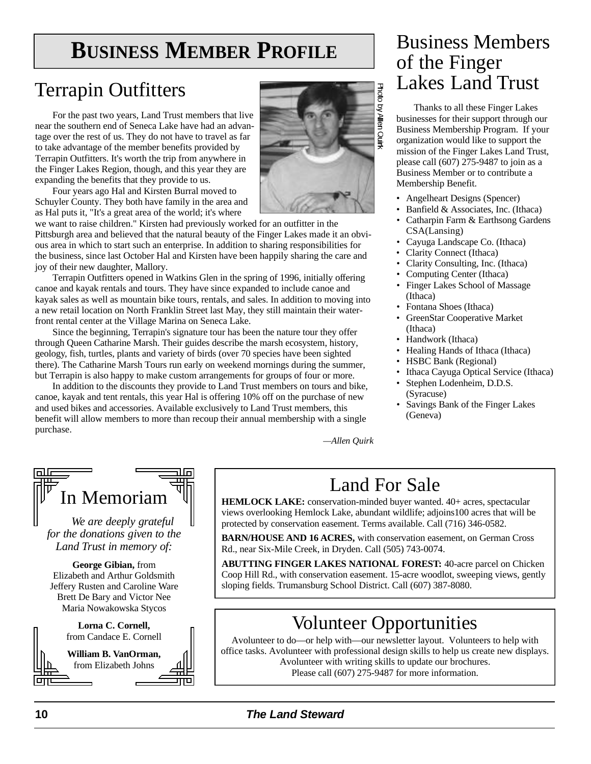# **BUSINESS MEMBER PROFILE** Business Members

### Terrapin Outfitters

For the past two years, Land Trust members that live near the southern end of Seneca Lake have had an advantage over the rest of us. They do not have to travel as far to take advantage of the member benefits provided by Terrapin Outfitters. It's worth the trip from anywhere in the Finger Lakes Region, though, and this year they are expanding the benefits that they provide to us.

Four years ago Hal and Kirsten Burral moved to Schuyler County. They both have family in the area and as Hal puts it, "It's a great area of the world; it's where

we want to raise children." Kirsten had previously worked for an outfitter in the Pittsburgh area and believed that the natural beauty of the Finger Lakes made it an obvious area in which to start such an enterprise. In addition to sharing responsibilities for the business, since last October Hal and Kirsten have been happily sharing the care and joy of their new daughter, Mallory.

Terrapin Outfitters opened in Watkins Glen in the spring of 1996, initially offering canoe and kayak rentals and tours. They have since expanded to include canoe and kayak sales as well as mountain bike tours, rentals, and sales. In addition to moving into a new retail location on North Franklin Street last May, they still maintain their waterfront rental center at the Village Marina on Seneca Lake.

Since the beginning, Terrapin's signature tour has been the nature tour they offer through Queen Catharine Marsh. Their guides describe the marsh ecosystem, history, geology, fish, turtles, plants and variety of birds (over 70 species have been sighted there). The Catharine Marsh Tours run early on weekend mornings during the summer, but Terrapin is also happy to make custom arrangements for groups of four or more.

In addition to the discounts they provide to Land Trust members on tours and bike, canoe, kayak and tent rentals, this year Hal is offering 10% off on the purchase of new and used bikes and accessories. Available exclusively to Land Trust members, this benefit will allow members to more than recoup their annual membership with a single purchase.

# of the Finger Lakes Land Trust

Thanks to all these Finger Lakes businesses for their support through our Business Membership Program. If your organization would like to support the mission of the Finger Lakes Land Trust, please call (607) 275-9487 to join as a Business Member or to contribute a Membership Benefit.

- Angelheart Designs (Spencer)
- Banfield & Associates, Inc. (Ithaca)
- Catharpin Farm & Earthsong Gardens  $CSA(Lensing)$
- Cayuga Landscape Co. (Ithaca)
- Clarity Connect (Ithaca)
- Clarity Consulting, Inc. (Ithaca)
- Computing Center (Ithaca)
- Finger Lakes School of Massage (Ithaca)
- Fontana Shoes (Ithaca)
- GreenStar Cooperative Market (Ithaca)
- Handwork (Ithaca)
- Healing Hands of Ithaca (Ithaca)
	- HSBC Bank (Regional)
	- Ithaca Cayuga Optical Service (Ithaca)
	- Stephen Lodenheim, D.D.S. (Syracuse)
	- Savings Bank of the Finger Lakes (Geneva)

*—Allen Quirk* 

| In Memoriam                                                |  |
|------------------------------------------------------------|--|
| We are deeply grateful                                     |  |
| for the donations given to the<br>Land Trust in memory of: |  |
| George Gibian, from<br>Elizabeth and Arthur Goldemith      |  |

Elizabeth and Arthur Goldsmith J effery Rusten and Caroline Ware Brett De Bary and Victor Nee Maria Nowakowska Stycos

> Lorna C. Cornell, from Candace E. Cornell



### Land For Sale

**HEMLOCK LAKE:** conservation-minded buyer wanted. 40+ acres, spectacular views overlooking Hemlock Lake, abundant wildlife; adjoins100 acres that will be protected by conservation easement. Terms available. Call (716) 346-0582.

**BARN/HOUSE AND 16 ACRES,** with conservation easement, on German Cross Rd., near Six-Mile Creek, in Dryden. Call (505) 743-0074.

**ABUTTING FINGER LAKES NATIONAL FOREST: 40-acre parcel on Chicken** Coop Hill Rd., with conservation easement. 15-acre woodlot, sweeping views, gently sloping fields. Trumansburg School District. Call (607) 387-8080.

### Volunteer Opportunities

Avolunteer to do—or help with—our newsletter layout. Volunteers to help with office tasks. Avolunteer with professional design skills to help us create new displays. Avolunteer with writing skills to update our brochures. Please call (607) 275-9487 for more information.

### **1 0 The Land Stew a rd**

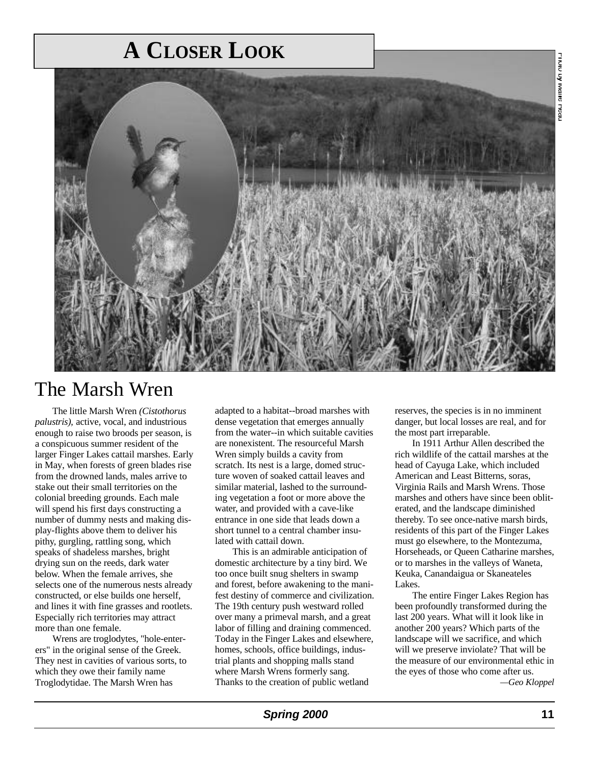# **A CLOSER LOOK**



### The Marsh Wren

The little Marsh Wren *(Cistothorus*) *palustris),* active, vocal, and industrious enough to raise two broods per season, is a conspicuous summer resident of the larger Finger Lakes cattail marshes. Early in May, when forests of green blades rise from the drowned lands, males arrive to stake out their small territories on the colonial breeding grounds. Each male will spend his first days constructing a number of dummy nests and making display-flights above them to deliver his pithy, gurgling, rattling song, which speaks of shadeless marshes, bright drying sun on the reeds, dark water below. When the female arrives, she selects one of the numerous nests already constructed, or else builds one herself, and lines it with fine grasses and rootlets. Especially rich territories may attract more than one female.

Wrens are troglodytes, "hole-enterers" in the original sense of the Greek. They nest in cavities of various sorts, to which they owe their family name Troglodytidae. The Marsh Wren has

adapted to a habitat--broad marshes with dense vegetation that emerges annually from the water--in which suitable cavities are nonexistent. The resourceful Marsh Wren simply builds a cavity from scratch. Its nest is a large, domed structure woven of soaked cattail leaves and similar material, lashed to the surrounding vegetation a foot or more above the water, and provided with a cave-like entrance in one side that leads down a short tunnel to a central chamber insulated with cattail down.

This is an admirable anticipation of domestic architecture by a tiny bird. We too once built snug shelters in swamp and forest, before awakening to the manifest destiny of commerce and civilization. The 19th century push westward rolled over many a primeval marsh, and a great labor of filling and draining commenced. Today in the Finger Lakes and elsewhere, homes, schools, office buildings, industrial plants and shopping malls stand where Marsh Wrens formerly sang. Thanks to the creation of public wetland

reserves, the species is in no imminent danger, but local losses are real, and for the most part irreparable.

In 1911 Arthur Allen described the rich wildlife of the cattail marshes at the head of Cayuga Lake, which included American and Least Bitterns, soras, Virginia Rails and Marsh Wrens. Those marshes and others have since been obliterated, and the landscape diminished thereby. To see once-native marsh birds, residents of this part of the Finger Lakes must go elsewhere, to the Montezuma, Horseheads, or Queen Catharine marshes, or to marshes in the valleys of Waneta, Keuka, Canandaigua or Skaneateles Lakes.

The entire Finger Lakes Region has been profoundly transformed during the last 200 years. What will it look like in another 200 years? Which parts of the landscape will we sacrifice, and which will we preserve inviolate? That will be the measure of our environmental ethic in the eyes of those who come after us. *—Geo Kloppel*